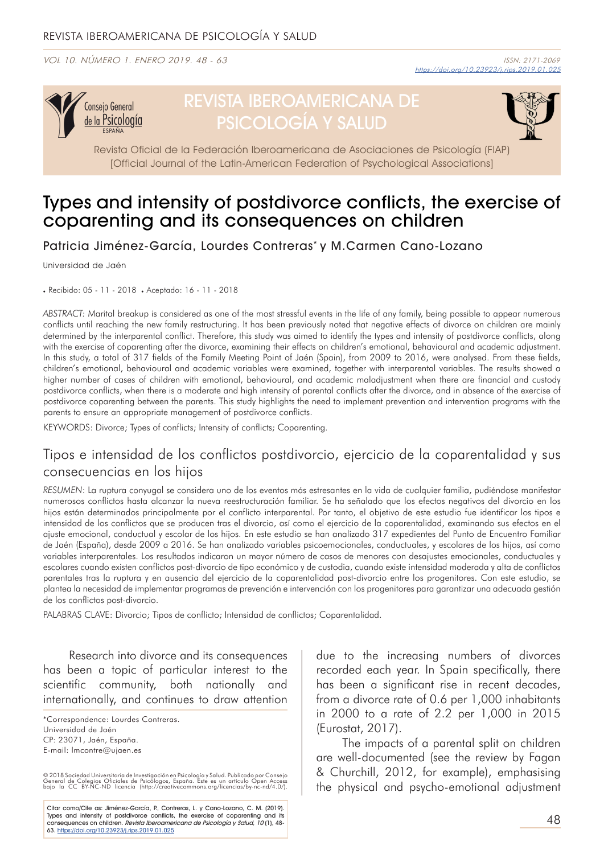VOL 10. NÚMERO 1. ENERO 2019. 48 - 63



# REVISTA IBEROAMERICANA DE PSICOLOGÍA Y SALUD



Revista Oficial de la Federación Iberoamericana de Asociaciones de Psicología (FIAP) [Official Journal of the Latin-American Federation of Psychological Associations]

# Types and intensity of postdivorce conflicts, the exercise of coparenting and its consequences on children

Patricia Jiménez-García, Lourdes Contreras\* y M.Carmen Cano-Lozano

Universidad de Jaén

. Recibido: 05 - 11 - 2018 . Aceptado: 16 - 11 - 2018

*ABSTRACT:* Marital breakup is considered as one of the most stressful events in the life of any family, being possible to appear numerous conflicts until reaching the new family restructuring. It has been previously noted that negative effects of divorce on children are mainly determined by the interparental conflict. Therefore, this study was aimed to identify the types and intensity of postdivorce conflicts, along with the exercise of coparenting after the divorce, examining their effects on children's emotional, behavioural and academic adjustment. In this study, a total of 317 fields of the Family Meeting Point of Jaén (Spain), from 2009 to 2016, were analysed. From these fields, children's emotional, behavioural and academic variables were examined, together with interparental variables. The results showed a higher number of cases of children with emotional, behavioural, and academic maladjustment when there are financial and custody postdivorce conflicts, when there is a moderate and high intensity of parental conflicts after the divorce, and in absence of the exercise of postdivorce coparenting between the parents. This study highlights the need to implement prevention and intervention programs with the parents to ensure an appropriate management of postdivorce conflicts.

KEYWORDS: Divorce; Types of conflicts; Intensity of conflicts; Coparenting.

### Tipos e intensidad de los conflictos postdivorcio, ejercicio de la coparentalidad y sus consecuencias en los hijos

*RESUMEN*: La ruptura conyugal se considera uno de los eventos más estresantes en la vida de cualquier familia, pudiéndose manifestar numerosos conflictos hasta alcanzar la nueva reestructuración familiar. Se ha señalado que los efectos negativos del divorcio en los hijos están determinados principalmente por el conflicto interparental. Por tanto, el objetivo de este estudio fue identificar los tipos e intensidad de los conflictos que se producen tras el divorcio, así como el ejercicio de la coparentalidad, examinando sus efectos en el ajuste emocional, conductual y escolar de los hijos. En este estudio se han analizado 317 expedientes del Punto de Encuentro Familiar de Jaén (España), desde 2009 a 2016. Se han analizado variables psicoemocionales, conductuales, y escolares de los hijos, así como variables interparentales. Los resultados indicaron un mayor número de casos de menores con desajustes emocionales, conductuales y escolares cuando existen conflictos post-divorcio de tipo económico y de custodia, cuando existe intensidad moderada y alta de conflictos parentales tras la ruptura y en ausencia del ejercicio de la coparentalidad post-divorcio entre los progenitores. Con este estudio, se plantea la necesidad de implementar programas de prevención e intervención con los progenitores para garantizar una adecuada gestión de los conflictos post-divorcio.

PALABRAS CLAVE: Divorcio; Tipos de conflicto; Intensidad de conflictos; Coparentalidad.

Research into divorce and its consequences has been a topic of particular interest to the scientific community, both nationally and internationally, and continues to draw attention

© 2018 Sociedad Universitaria de Investigación en Psicología y Salud. Publicado por Consejo<br>General de Colegios Oficiales de Psicólogos, España. Este es un artículo Open Access<br>bajo la CC BY-NC-ND licencia (http://creative

Citar como/Cite as: Jiménez-García, P., Contreras, L. y Cano-Lozano, C. M. (2019). Types and intensity of postdivorce conflicts, the exercise of coparenting and its<br>consequences on children. *Revista Iberoamericana de Psicología y Salud, 10* (1), 48-63. https://doi.org/10.23923/j.rips.2019.01.025

due to the increasing numbers of divorces recorded each year. In Spain specifically, there has been a significant rise in recent decades, from a divorce rate of 0.6 per 1,000 inhabitants in 2000 to a rate of 2.2 per 1,000 in 2015 (Eurostat, 2017).

The impacts of a parental split on children are well-documented (see the review by Fagan & Churchill, 2012, for example), emphasising the physical and psycho-emotional adjustment

<sup>\*</sup>Correspondence: Lourdes Contreras. Universidad de Jaén CP: 23071, Jaén, España. E-mail: lmcontre@ujaen.es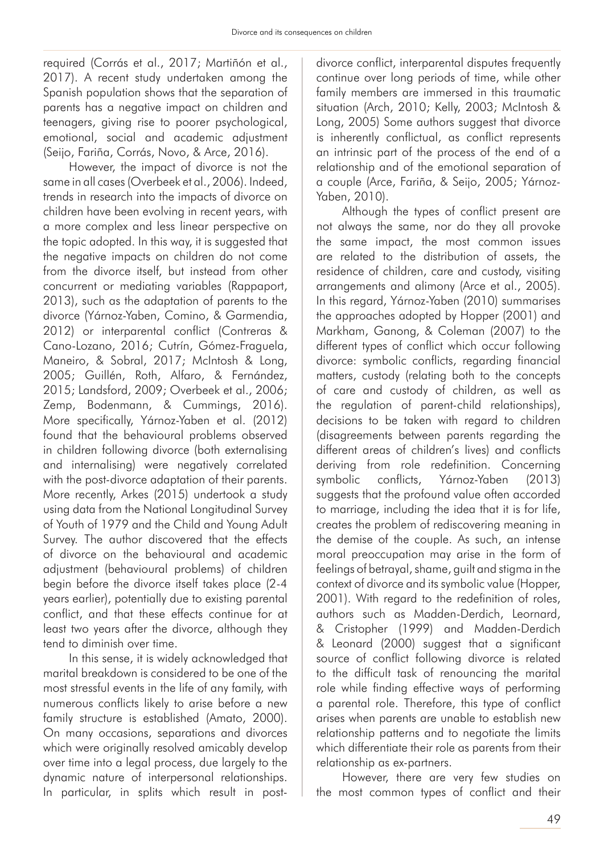required (Corrás et al., 2017; Martiñón et al., 2017). A recent study undertaken among the Spanish population shows that the separation of parents has a negative impact on children and teenagers, giving rise to poorer psychological, emotional, social and academic adjustment (Seijo, Fariña, Corrás, Novo, & Arce, 2016).

However, the impact of divorce is not the same in all cases (Overbeek et al., 2006). Indeed, trends in research into the impacts of divorce on children have been evolving in recent years, with a more complex and less linear perspective on the topic adopted. In this way, it is suggested that the negative impacts on children do not come from the divorce itself, but instead from other concurrent or mediating variables (Rappaport, 2013), such as the adaptation of parents to the divorce (Yárnoz-Yaben, Comino, & Garmendia, 2012) or interparental conflict (Contreras & Cano-Lozano, 2016; Cutrín, Gómez-Fraguela, Maneiro, & Sobral, 2017; McIntosh & Long, 2005; Guillén, Roth, Alfaro, & Fernández, 2015; Landsford, 2009; Overbeek et al., 2006; Zemp, Bodenmann, & Cummings, 2016). More specifically, Yárnoz-Yaben et al. (2012) found that the behavioural problems observed in children following divorce (both externalising and internalising) were negatively correlated with the post-divorce adaptation of their parents. More recently, Arkes (2015) undertook a study using data from the National Longitudinal Survey of Youth of 1979 and the Child and Young Adult Survey. The author discovered that the effects of divorce on the behavioural and academic adjustment (behavioural problems) of children begin before the divorce itself takes place (2-4 years earlier), potentially due to existing parental conflict, and that these effects continue for at least two years after the divorce, although they tend to diminish over time.

In this sense, it is widely acknowledged that marital breakdown is considered to be one of the most stressful events in the life of any family, with numerous conflicts likely to arise before a new family structure is established (Amato, 2000). On many occasions, separations and divorces which were originally resolved amicably develop over time into a legal process, due largely to the dynamic nature of interpersonal relationships. In particular, in splits which result in postdivorce conflict, interparental disputes frequently continue over long periods of time, while other family members are immersed in this traumatic situation (Arch, 2010; Kelly, 2003; McIntosh & Long, 2005) Some authors suggest that divorce is inherently conflictual, as conflict represents an intrinsic part of the process of the end of a relationship and of the emotional separation of a couple (Arce, Fariña, & Seijo, 2005; Yárnoz-Yaben, 2010).

Although the types of conflict present are not always the same, nor do they all provoke the same impact, the most common issues are related to the distribution of assets, the residence of children, care and custody, visiting arrangements and alimony (Arce et al., 2005). In this regard, Yárnoz-Yaben (2010) summarises the approaches adopted by Hopper (2001) and Markham, Ganong, & Coleman (2007) to the different types of conflict which occur following divorce: symbolic conflicts, regarding financial matters, custody (relating both to the concepts of care and custody of children, as well as the regulation of parent-child relationships), decisions to be taken with regard to children (disagreements between parents regarding the different areas of children's lives) and conflicts deriving from role redefinition. Concerning symbolic conflicts, Yárnoz-Yaben (2013) suggests that the profound value often accorded to marriage, including the idea that it is for life, creates the problem of rediscovering meaning in the demise of the couple. As such, an intense moral preoccupation may arise in the form of feelings of betrayal, shame, guilt and stigma in the context of divorce and its symbolic value (Hopper, 2001). With regard to the redefinition of roles, authors such as Madden-Derdich, Leornard, & Cristopher (1999) and Madden-Derdich & Leonard (2000) suggest that a significant source of conflict following divorce is related to the difficult task of renouncing the marital role while finding effective ways of performing a parental role. Therefore, this type of conflict arises when parents are unable to establish new relationship patterns and to negotiate the limits which differentiate their role as parents from their relationship as ex-partners.

However, there are very few studies on the most common types of conflict and their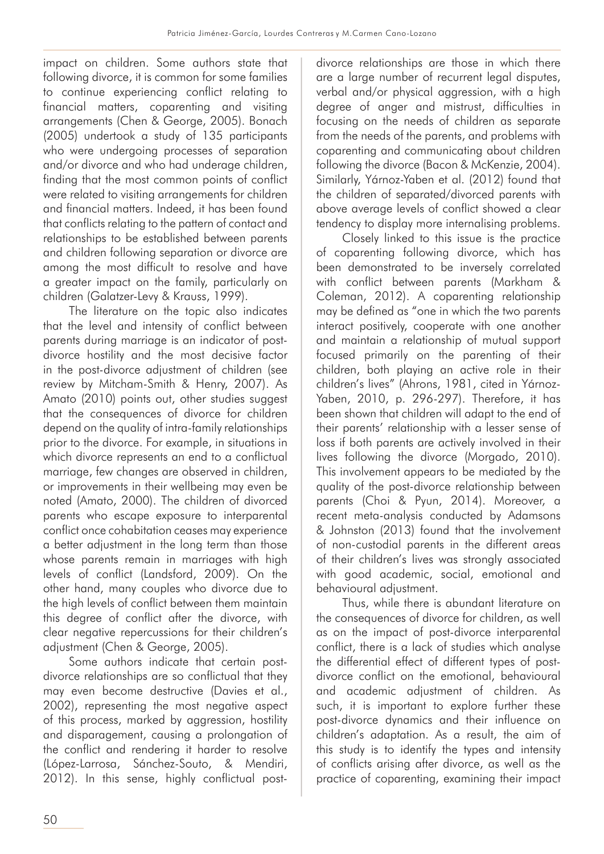impact on children. Some authors state that following divorce, it is common for some families to continue experiencing conflict relating to financial matters, coparenting and visiting arrangements (Chen & George, 2005). Bonach (2005) undertook a study of 135 participants who were undergoing processes of separation and/or divorce and who had underage children, finding that the most common points of conflict were related to visiting arrangements for children and financial matters. Indeed, it has been found that conflicts relating to the pattern of contact and relationships to be established between parents and children following separation or divorce are among the most difficult to resolve and have a greater impact on the family, particularly on children (Galatzer-Levy & Krauss, 1999).

The literature on the topic also indicates that the level and intensity of conflict between parents during marriage is an indicator of postdivorce hostility and the most decisive factor in the post-divorce adjustment of children (see review by Mitcham-Smith & Henry, 2007). As Amato (2010) points out, other studies suggest that the consequences of divorce for children depend on the quality of intra-family relationships prior to the divorce. For example, in situations in which divorce represents an end to a conflictual marriage, few changes are observed in children, or improvements in their wellbeing may even be noted (Amato, 2000). The children of divorced parents who escape exposure to interparental conflict once cohabitation ceases may experience a better adjustment in the long term than those whose parents remain in marriages with high levels of conflict (Landsford, 2009). On the other hand, many couples who divorce due to the high levels of conflict between them maintain this degree of conflict after the divorce, with clear negative repercussions for their children's adjustment (Chen & George, 2005).

Some authors indicate that certain postdivorce relationships are so conflictual that they may even become destructive (Davies et al., 2002), representing the most negative aspect of this process, marked by aggression, hostility and disparagement, causing a prolongation of the conflict and rendering it harder to resolve (López-Larrosa, Sánchez-Souto, & Mendiri, 2012). In this sense, highly conflictual postdivorce relationships are those in which there are a large number of recurrent legal disputes, verbal and/or physical aggression, with a high degree of anger and mistrust, difficulties in focusing on the needs of children as separate from the needs of the parents, and problems with coparenting and communicating about children following the divorce (Bacon & McKenzie, 2004). Similarly, Yárnoz-Yaben et al. (2012) found that the children of separated/divorced parents with above average levels of conflict showed a clear tendency to display more internalising problems.

Closely linked to this issue is the practice of coparenting following divorce, which has been demonstrated to be inversely correlated with conflict between parents (Markham & Coleman, 2012). A coparenting relationship may be defined as "one in which the two parents interact positively, cooperate with one another and maintain a relationship of mutual support focused primarily on the parenting of their children, both playing an active role in their children's lives" (Ahrons, 1981, cited in Yárnoz-Yaben, 2010, p. 296-297). Therefore, it has been shown that children will adapt to the end of their parents' relationship with a lesser sense of loss if both parents are actively involved in their lives following the divorce (Morgado, 2010). This involvement appears to be mediated by the quality of the post-divorce relationship between parents (Choi & Pyun, 2014). Moreover, a recent meta-analysis conducted by Adamsons & Johnston (2013) found that the involvement of non-custodial parents in the different areas of their children's lives was strongly associated with good academic, social, emotional and behavioural adjustment.

Thus, while there is abundant literature on the consequences of divorce for children, as well as on the impact of post-divorce interparental conflict, there is a lack of studies which analyse the differential effect of different types of postdivorce conflict on the emotional, behavioural and academic adjustment of children. As such, it is important to explore further these post-divorce dynamics and their influence on children's adaptation. As a result, the aim of this study is to identify the types and intensity of conflicts arising after divorce, as well as the practice of coparenting, examining their impact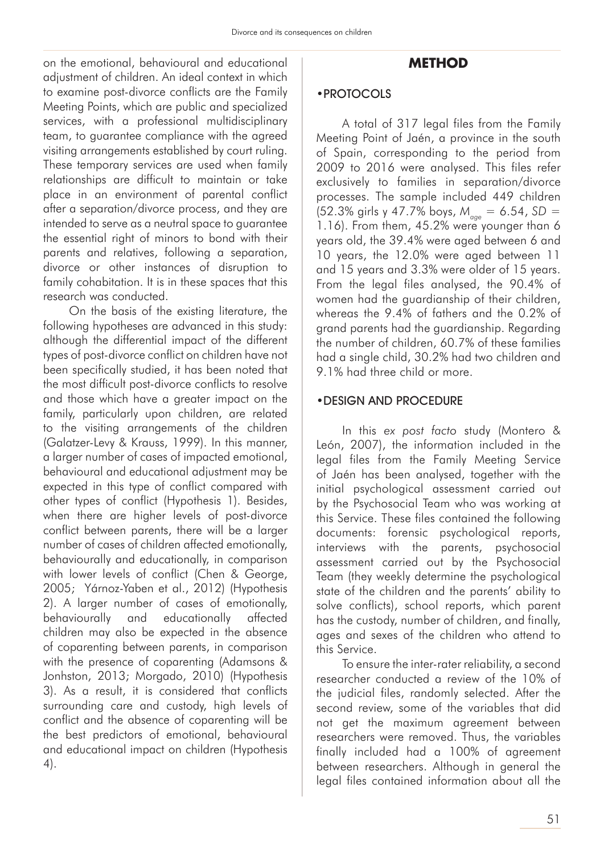on the emotional, behavioural and educational adjustment of children. An ideal context in which to examine post-divorce conflicts are the Family Meeting Points, which are public and specialized services, with a professional multidisciplinary team, to guarantee compliance with the agreed visiting arrangements established by court ruling. These temporary services are used when family relationships are difficult to maintain or take place in an environment of parental conflict after a separation/divorce process, and they are intended to serve as a neutral space to guarantee the essential right of minors to bond with their parents and relatives, following a separation, divorce or other instances of disruption to family cohabitation. It is in these spaces that this research was conducted.

On the basis of the existing literature, the following hypotheses are advanced in this study: although the differential impact of the different types of post-divorce conflict on children have not been specifically studied, it has been noted that the most difficult post-divorce conflicts to resolve and those which have a greater impact on the family, particularly upon children, are related to the visiting arrangements of the children (Galatzer-Levy & Krauss, 1999). In this manner, a larger number of cases of impacted emotional, behavioural and educational adjustment may be expected in this type of conflict compared with other types of conflict (Hypothesis 1). Besides, when there are higher levels of post-divorce conflict between parents, there will be a larger number of cases of children affected emotionally, behaviourally and educationally, in comparison with lower levels of conflict (Chen & George, 2005; Yárnoz-Yaben et al., 2012) (Hypothesis 2). A larger number of cases of emotionally, behaviourally and educationally affected children may also be expected in the absence of coparenting between parents, in comparison with the presence of coparenting (Adamsons & Jonhston, 2013; Morgado, 2010) (Hypothesis 3). As a result, it is considered that conflicts surrounding care and custody, high levels of conflict and the absence of coparenting will be the best predictors of emotional, behavioural and educational impact on children (Hypothesis 4).

## **METHOD**

#### •PROTOCOLS

A total of 317 legal files from the Family Meeting Point of Jaén, a province in the south of Spain, corresponding to the period from 2009 to 2016 were analysed. This files refer exclusively to families in separation/divorce processes. The sample included 449 children (52.3% girls y 47.7% boys, *M age* = 6.54, *SD* = 1.16). From them, 45.2% were younger than 6 years old, the 39.4% were aged between 6 and 10 years, the 12.0% were aged between 11 and 15 years and 3.3% were older of 15 years. From the legal files analysed, the 90.4% of women had the guardianship of their children, whereas the 9.4% of fathers and the 0.2% of grand parents had the guardianship. Regarding the number of children, 60.7% of these families had a single child, 30.2% had two children and 9.1% had three child or more.

### •DESIGN AND PROCEDURE

In this *ex post facto* study (Montero & León, 2007), the information included in the legal files from the Family Meeting Service of Jaén has been analysed, together with the initial psychological assessment carried out by the Psychosocial Team who was working at this Service. These files contained the following documents: forensic psychological reports, interviews with the parents, psychosocial assessment carried out by the Psychosocial Team (they weekly determine the psychological state of the children and the parents' ability to solve conflicts), school reports, which parent has the custody, number of children, and finally, ages and sexes of the children who attend to this Service.

To ensure the inter-rater reliability, a second researcher conducted a review of the 10% of the judicial files, randomly selected. After the second review, some of the variables that did not get the maximum agreement between researchers were removed. Thus, the variables finally included had a 100% of agreement between researchers. Although in general the legal files contained information about all the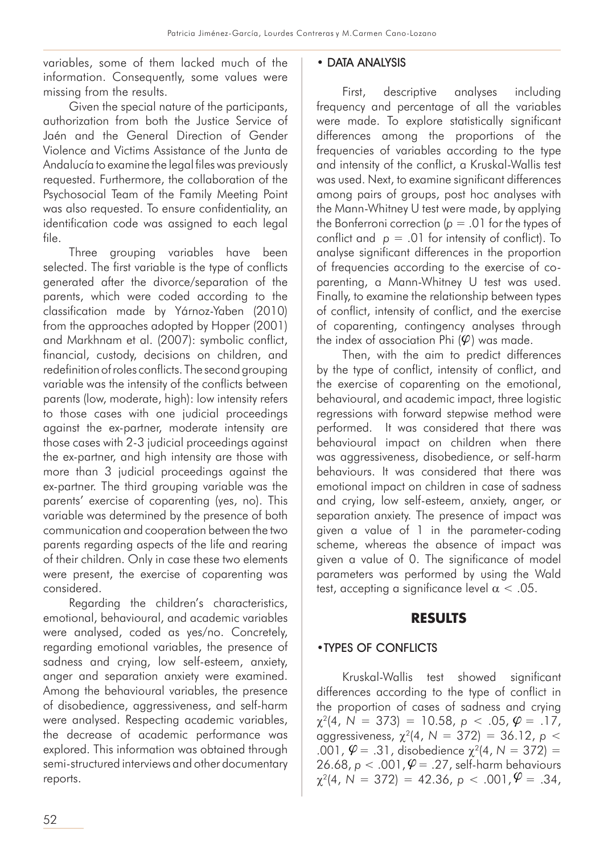variables, some of them lacked much of the information. Consequently, some values were missing from the results.

Given the special nature of the participants, authorization from both the Justice Service of Jaén and the General Direction of Gender Violence and Victims Assistance of the Junta de Andalucía to examine the legal files was previously requested. Furthermore, the collaboration of the Psychosocial Team of the Family Meeting Point was also requested. To ensure confidentiality, an identification code was assigned to each legal file.

Three grouping variables have been selected. The first variable is the type of conflicts generated after the divorce/separation of the parents, which were coded according to the classification made by Yárnoz-Yaben (2010) from the approaches adopted by Hopper (2001) and Markhnam et al. (2007): symbolic conflict, financial, custody, decisions on children, and redefinition of roles conflicts. The second grouping variable was the intensity of the conflicts between parents (low, moderate, high): low intensity refers to those cases with one judicial proceedings against the ex-partner, moderate intensity are those cases with 2-3 judicial proceedings against the ex-partner, and high intensity are those with more than 3 judicial proceedings against the ex-partner. The third grouping variable was the parents' exercise of coparenting (yes, no). This variable was determined by the presence of both communication and cooperation between the two parents regarding aspects of the life and rearing of their children. Only in case these two elements were present, the exercise of coparenting was considered.

Regarding the children's characteristics, emotional, behavioural, and academic variables were analysed, coded as yes/no. Concretely, regarding emotional variables, the presence of sadness and crying, low self-esteem, anxiety, anger and separation anxiety were examined. Among the behavioural variables, the presence of disobedience, aggressiveness, and self-harm were analysed. Respecting academic variables, the decrease of academic performance was explored. This information was obtained through semi-structured interviews and other documentary reports.

### • DATA ANALYSIS

First, descriptive analyses including frequency and percentage of all the variables were made. To explore statistically significant differences among the proportions of the frequencies of variables according to the type and intensity of the conflict, a Kruskal-Wallis test was used. Next, to examine significant differences among pairs of groups, post hoc analyses with the Mann-Whitney U test were made, by applying the Bonferroni correction  $(p = .01$  for the types of conflict and  $p = .01$  for intensity of conflict). To analyse significant differences in the proportion of frequencies according to the exercise of coparenting, a Mann-Whitney U test was used. Finally, to examine the relationship between types of conflict, intensity of conflict, and the exercise of coparenting, contingency analyses through the index of association Phi  $(\varphi)$  was made.

Then, with the aim to predict differences by the type of conflict, intensity of conflict, and the exercise of coparenting on the emotional, behavioural, and academic impact, three logistic regressions with forward stepwise method were performed. It was considered that there was behavioural impact on children when there was aggressiveness, disobedience, or self-harm behaviours. It was considered that there was emotional impact on children in case of sadness and crying, low self-esteem, anxiety, anger, or separation anxiety. The presence of impact was given a value of 1 in the parameter-coding scheme, whereas the absence of impact was given a value of 0. The significance of model parameters was performed by using the Wald test, accepting a significance level  $\alpha$  < .05.

### **RESULTS**

### •TYPES OF CONFLICTS

Kruskal-Wallis test showed significant differences according to the type of conflict in the proportion of cases of sadness and crying  $\chi^2(4, N = 373) = 10.58, p < .05, \varphi = .17,$ aggressiveness, χ2(4, *N* = 372) = 36.12, *p* <  $\overline{001}$ ,  $\varphi = 0.31$ , disobedience  $\chi^2(4, N = 372) = 0$  $26.68, p < .001, \varphi = .27, \text{ self-harm behaviour}$  $\chi^2(4, N = 372) = 42.36, p < .001, \mathcal{V} = .34,$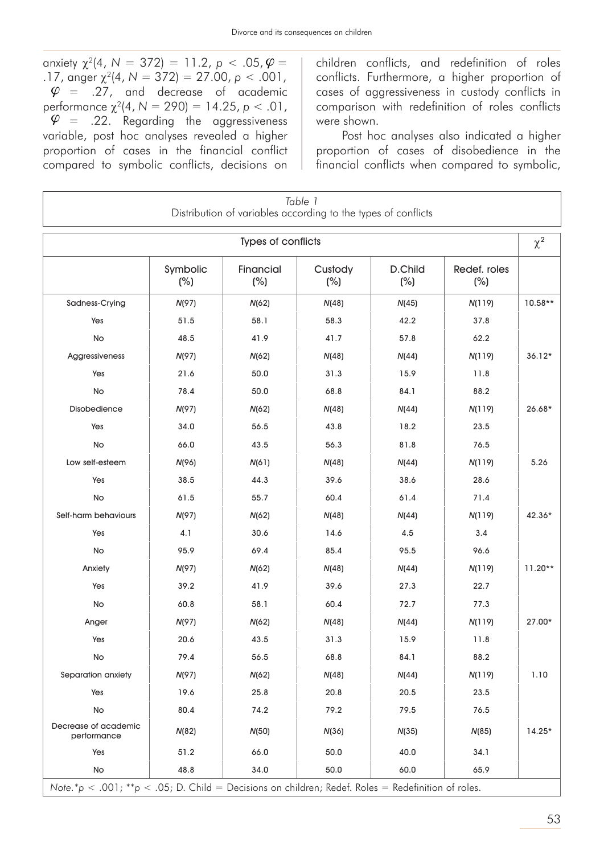anxiety  $\chi^2(4, N = 372) = 11.2, p < .05, \varphi =$ .17, anger  $\chi^2(4, N = 372) = 27.00, p < .001$ ,  $\varphi = 0.27$ , and decrease of academic performance χ2(4, *N* = 290) = 14.25, *p* < .01,  $\varphi$  = .22. Regarding the aggressiveness variable, post hoc analyses revealed a higher proportion of cases in the financial conflict compared to symbolic conflicts, decisions on

children conflicts, and redefinition of roles conflicts. Furthermore, a higher proportion of cases of aggressiveness in custody conflicts in comparison with redefinition of roles conflicts were shown.

Post hoc analyses also indicated a higher proportion of cases of disobedience in the financial conflicts when compared to symbolic,

| Table 1<br>Distribution of variables according to the types of conflicts                           |                    |                            |                |                          |                     |           |  |  |
|----------------------------------------------------------------------------------------------------|--------------------|----------------------------|----------------|--------------------------|---------------------|-----------|--|--|
| Types of conflicts                                                                                 |                    |                            |                |                          |                     |           |  |  |
|                                                                                                    | Symbolic<br>$(\%)$ | <b>Financial</b><br>$(\%)$ | Custody<br>(%) | <b>D.Child</b><br>$(\%)$ | Redef. roles<br>(%) |           |  |  |
| Sadness-Crying                                                                                     | N(97)              | N(62)                      | N(48)          | N(45)                    | N(119)              | 10.58**   |  |  |
| Yes                                                                                                | 51.5               | 58.1                       | 58.3           | 42.2                     | 37.8                |           |  |  |
| <b>No</b>                                                                                          | 48.5               | 41.9                       | 41.7           | 57.8                     | 62.2                |           |  |  |
| Aggressiveness                                                                                     | N(97)              | N(62)                      | N(48)          | N(44)                    | N(119)              | $36.12*$  |  |  |
| Yes                                                                                                | 21.6               | 50.0                       | 31.3           | 15.9                     | 11.8                |           |  |  |
| No                                                                                                 | 78.4               | 50.0                       | 68.8           | 84.1                     | 88.2                |           |  |  |
| <b>Disobedience</b>                                                                                | N(97)              | N(62)                      | N(48)          | N(44)                    | N(119)              | 26.68*    |  |  |
| Yes                                                                                                | 34.0               | 56.5                       | 43.8           | 18.2                     | 23.5                |           |  |  |
| <b>No</b>                                                                                          | 66.0               | 43.5                       | 56.3           | 81.8                     | 76.5                |           |  |  |
| Low self-esteem                                                                                    | N(96)              | N(61)                      | N(48)          | N(44)                    | N(119)              | 5.26      |  |  |
| Yes                                                                                                | 38.5               | 44.3                       | 39.6           | 38.6                     | 28.6                |           |  |  |
| <b>No</b>                                                                                          | 61.5               | 55.7                       | 60.4           | 61.4                     | 71.4                |           |  |  |
| Self-harm behaviours                                                                               | N(97)              | N(62)                      | N(48)          | N(44)                    | N(119)              | 42.36*    |  |  |
| Yes                                                                                                | 4.1                | 30.6                       | 14.6           | 4.5                      | 3.4                 |           |  |  |
| No                                                                                                 | 95.9               | 69.4                       | 85.4           | 95.5                     | 96.6                |           |  |  |
| Anxiety                                                                                            | N(97)              | N(62)                      | N(48)          | N(44)                    | N(119)              | $11.20**$ |  |  |
| Yes                                                                                                | 39.2               | 41.9                       | 39.6           | 27.3                     | 22.7                |           |  |  |
| <b>No</b>                                                                                          | 60.8               | 58.1                       | 60.4           | 72.7                     | 77.3                |           |  |  |
| Anger                                                                                              | N(97)              | N(62)                      | N(48)          | N(44)                    | N(119)              | 27.00*    |  |  |
| Yes                                                                                                | 20.6               | 43.5                       | 31.3           | 15.9                     | 11.8                |           |  |  |
| No                                                                                                 | 79.4               | 56.5                       | 68.8           | 84.1                     | 88.2                |           |  |  |
| Separation anxiety                                                                                 | N(97)              | N(62)                      | N(48)          | N(44)                    | N(119)              | 1.10      |  |  |
| Yes                                                                                                | 19.6               | 25.8                       | 20.8           | 20.5                     | 23.5                |           |  |  |
| No                                                                                                 | 80.4               | 74.2                       | 79.2           | 79.5                     | 76.5                |           |  |  |
| Decrease of academic<br>performance                                                                | N(82)              | N(50)                      | N(36)          | N(35)                    | N(85)               | $14.25*$  |  |  |
| Yes                                                                                                | 51.2               | 66.0                       | 50.0           | 40.0                     | 34.1                |           |  |  |
| No                                                                                                 | 48.8               | 34.0                       | 50.0           | 60.0                     | 65.9                |           |  |  |
| Note.*p < .001; **p < .05; D. Child = Decisions on children; Redef. Roles = Redefinition of roles. |                    |                            |                |                          |                     |           |  |  |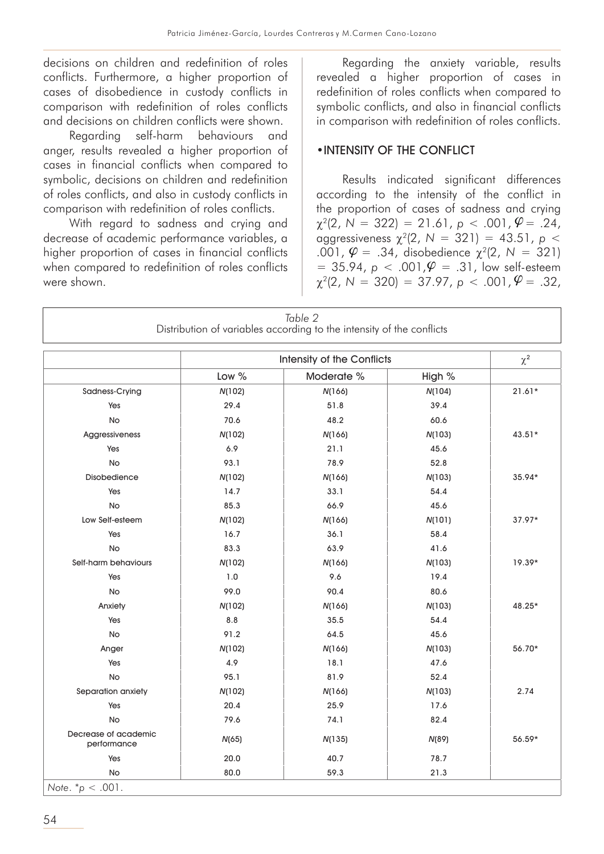decisions on children and redefinition of roles conflicts. Furthermore, a higher proportion of cases of disobedience in custody conflicts in comparison with redefinition of roles conflicts and decisions on children conflicts were shown.

Regarding self-harm behaviours and anger, results revealed a higher proportion of cases in financial conflicts when compared to symbolic, decisions on children and redefinition of roles conflicts, and also in custody conflicts in comparison with redefinition of roles conflicts.

With regard to sadness and crying and decrease of academic performance variables, a higher proportion of cases in financial conflicts when compared to redefinition of roles conflicts were shown.

Regarding the anxiety variable, results revealed a higher proportion of cases in redefinition of roles conflicts when compared to symbolic conflicts, and also in financial conflicts in comparison with redefinition of roles conflicts.

### •INTENSITY OF THE CONFLICT

Results indicated significant differences according to the intensity of the conflict in the proportion of cases of sadness and crying  $\chi^2(2, N = 322) = 21.61, p < .001, \varphi = .24,$ aggressiveness  $\chi^2(2, N = 321) = 43.51$ , *p* <  $.001, \varphi = .34, \text{ disobedience } \chi^2(2, N = 321)$  $= 35.94, p < .001, \mathcal{Q} = .31, low self-esteem$  $\chi^2(2, N = 320) = 37.97, p < .001, \varphi = .32,$ 

|                                     |         | Table 2<br>Distribution of variables according to the intensity of the conflicts |          |          |
|-------------------------------------|---------|----------------------------------------------------------------------------------|----------|----------|
|                                     |         |                                                                                  | $\chi^2$ |          |
|                                     | Low $%$ | Moderate %                                                                       | High %   |          |
| Sadness-Crying                      | N(102)  | N(166)                                                                           | N(104)   | $21.61*$ |
| Yes                                 | 29.4    | 51.8                                                                             | 39.4     |          |
| <b>No</b>                           | 70.6    | 48.2                                                                             | 60.6     |          |
| Aggressiveness                      | N(102)  | N(166)                                                                           | N(103)   | $43.51*$ |
| Yes                                 | 6.9     | 21.1                                                                             | 45.6     |          |
| <b>No</b>                           | 93.1    | 78.9                                                                             | 52.8     |          |
| <b>Disobedience</b>                 | N(102)  | N(166)                                                                           | N(103)   | 35.94*   |
| Yes                                 | 14.7    | 33.1                                                                             | 54.4     |          |
| <b>No</b>                           | 85.3    | 66.9                                                                             | 45.6     |          |
| Low Self-esteem                     | N(102)  | N(166)                                                                           | N(101)   | $37.97*$ |
| Yes                                 | 16.7    | 36.1                                                                             | 58.4     |          |
| <b>No</b>                           | 83.3    | 63.9                                                                             | 41.6     |          |
| Self-harm behaviours                | N(102)  | N(166)                                                                           | N(103)   | $19.39*$ |
| Yes                                 | 1.0     | 9.6                                                                              | 19.4     |          |
| <b>No</b>                           | 99.0    | 90.4                                                                             | 80.6     |          |
| Anxiety                             | N(102)  | N(166)                                                                           | N(103)   | 48.25*   |
| Yes                                 | 8.8     | 35.5                                                                             | 54.4     |          |
| No                                  | 91.2    | 64.5                                                                             | 45.6     |          |
| Anger                               | N(102)  | N(166)                                                                           | N(103)   | 56.70*   |
| Yes                                 | 4.9     | 18.1                                                                             | 47.6     |          |
| No                                  | 95.1    | 81.9                                                                             | 52.4     |          |
| Separation anxiety                  | N(102)  | N(166)                                                                           | N(103)   | 2.74     |
| Yes                                 | 20.4    | 25.9                                                                             | 17.6     |          |
| No                                  | 79.6    | 74.1                                                                             | 82.4     |          |
| Decrease of academic<br>performance | N(65)   | N(135)                                                                           | N(89)    | 56.59*   |
| Yes                                 | 20.0    | 40.7                                                                             | 78.7     |          |
| No                                  | 80.0    | 59.3                                                                             | 21.3     |          |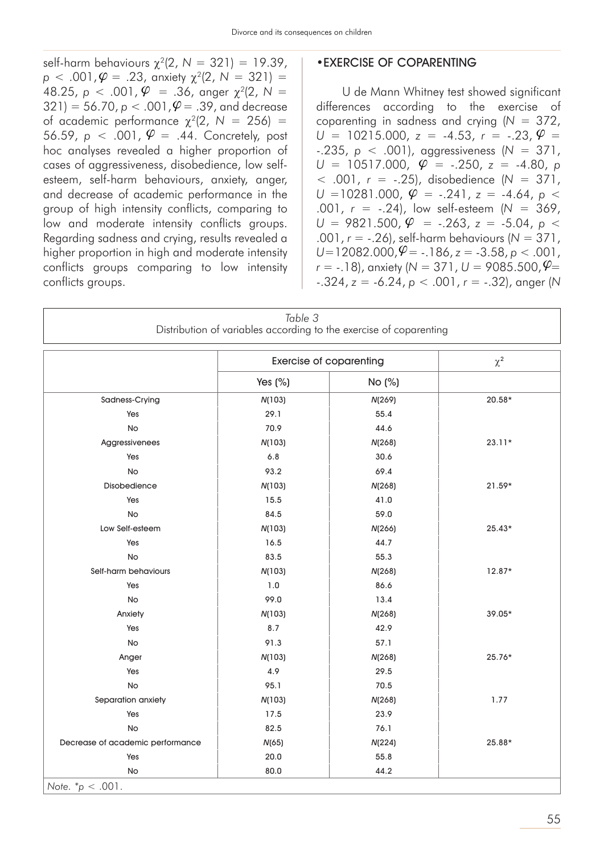self-harm behaviours χ2(2, *N* = 321) = 19.39,  $p < .001, \varphi = .23$ , anxiety  $\chi^2(2, N = 321) =$  $48.25, p < .001, \varphi = .36, \text{ integer } \chi^2(2, N = 1)$  $(321) = 56.70, p < .001, \varphi = .39, \text{ and decrease}$ of academic performance  $\chi^2(2, N = 256)$  = 56.59,  $p < .001$ ,  $\varphi = .44$ . Concretely, post hoc analyses revealed a higher proportion of cases of aggressiveness, disobedience, low selfesteem, self-harm behaviours, anxiety, anger, and decrease of academic performance in the group of high intensity conflicts, comparing to low and moderate intensity conflicts groups. Regarding sadness and crying, results revealed a higher proportion in high and moderate intensity conflicts groups comparing to low intensity conflicts groups.

#### •EXERCISE OF COPARENTING

U de Mann Whitney test showed significant differences according to the exercise of coparenting in sadness and crying (*N* = 372,  $\Psi = .44$ . Concretely, post  $U = 10215.000$ ,  $z = -4.53$ ,  $r = -.23$ ,  $\Psi =$ -.235, *p* < .001), aggressiveness (*N* = 371,  $U = 10517.000, \quad \varphi = -.250, \quad z = -4.80, \quad p$ < .001, *r* = -.25), disobedience (*N* = 371,  $U = 10281.000, \ \hat{\varphi} = -.241, \ z = -4.64, \ p <$ .001, *r* = -.24), low self-esteem (*N* = 369,  $U = 9821.500, \varphi = -.263, z = .5.04, p <$ .001, *r* = -.26), self-harm behaviours (*N* = 371,  $U=12082.000, \mathcal{V} = -.186, z = -3.58, p < .001,$  $r = -.18$ ), anxiety ( $N = 371$ ,  $U = 9085.500$ ,  $\varphi =$ -.324, *z* = -6.24, *p* < .001, *r* = -.32), anger (*N*

|                                  | Table 3 | Distribution of variables according to the exercise of coparenting |          |
|----------------------------------|---------|--------------------------------------------------------------------|----------|
|                                  |         | <b>Exercise of coparenting</b>                                     | $\chi^2$ |
|                                  | Yes (%) | No (%)                                                             |          |
| Sadness-Crying                   | N(103)  | N(269)                                                             | $20.58*$ |
| Yes                              | 29.1    | 55.4                                                               |          |
| No                               | 70.9    | 44.6                                                               |          |
| Aggressivenees                   | N(103)  | N(268)                                                             | $23.11*$ |
| Yes                              | 6.8     | 30.6                                                               |          |
| No                               | 93.2    | 69.4                                                               |          |
| Disobedience                     | N(103)  | N(268)                                                             | $21.59*$ |
| Yes                              | 15.5    | 41.0                                                               |          |
| No                               | 84.5    | 59.0                                                               |          |
| Low Self-esteem                  | N(103)  | N(266)                                                             | $25.43*$ |
| Yes                              | 16.5    | 44.7                                                               |          |
| <b>No</b>                        | 83.5    | 55.3                                                               |          |
| Self-harm behaviours             | N(103)  | N(268)                                                             | $12.87*$ |
| Yes                              | $1.0\,$ | 86.6                                                               |          |
| No                               | 99.0    | 13.4                                                               |          |
| Anxiety                          | N(103)  | N(268)                                                             | 39.05*   |
| Yes                              | 8.7     | 42.9                                                               |          |
| No                               | 91.3    | 57.1                                                               |          |
| Anger                            | N(103)  | N(268)                                                             | 25.76*   |
| Yes                              | 4.9     | 29.5                                                               |          |
| No                               | 95.1    | 70.5                                                               |          |
| Separation anxiety               | N(103)  | N(268)                                                             | 1.77     |
| Yes                              | 17.5    | 23.9                                                               |          |
| <b>No</b>                        | 82.5    | 76.1                                                               |          |
| Decrease of academic performance | N(65)   | N(224)                                                             | 25.88*   |
| Yes                              | 20.0    | 55.8                                                               |          |
| No                               | 80.0    | 44.2                                                               |          |
| Note. $p < .001$ .               |         |                                                                    |          |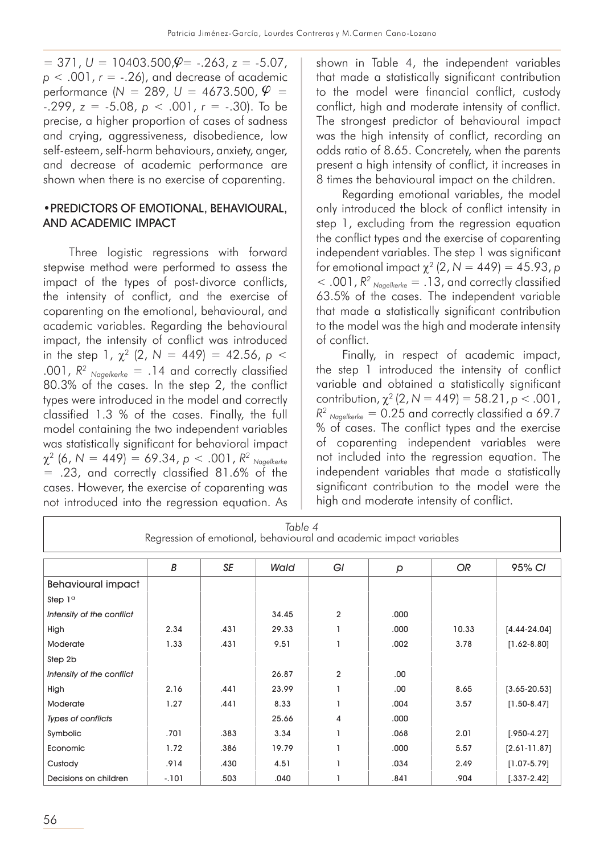$= 371, U = 10403.500, \mathcal{Q} = -.263, z = -5.07,$ *p* < .001, *r* = -.26), and decrease of academic  $performance (N = 289, U = 4673.500, \varphi =$ -.299, *z* = -5.08, *p* < .001, *r* = -.30). To be precise, a higher proportion of cases of sadness and crying, aggressiveness, disobedience, low self-esteem, self-harm behaviours, anxiety, anger, and decrease of academic performance are shown when there is no exercise of coparenting.

#### •PREDICTORS OF EMOTIONAL, BEHAVIOURAL, AND ACADEMIC IMPACT

Three logistic regressions with forward stepwise method were performed to assess the impact of the types of post-divorce conflicts, the intensity of conflict, and the exercise of coparenting on the emotional, behavioural, and academic variables. Regarding the behavioural impact, the intensity of conflict was introduced in the step 1,  $\chi^2$  (2,  $N = 449$ ) = 42.56,  $p <$ .001,  $R^2$  <sub>Nagelkerke</sub> = .14 and correctly classified 80.3% of the cases. In the step 2, the conflict types were introduced in the model and correctly classified 1.3 % of the cases. Finally, the full model containing the two independent variables was statistically significant for behavioral impact χ2 (6, *N* = 449) = 69.34, *p* < .001, *R2 Nagelkerke* = .23, and correctly classified 81.6% of the cases. However, the exercise of coparenting was not introduced into the regression equation. As

shown in Table 4, the independent variables that made a statistically significant contribution to the model were financial conflict, custody conflict, high and moderate intensity of conflict. The strongest predictor of behavioural impact was the high intensity of conflict, recording an odds ratio of 8.65. Concretely, when the parents present a high intensity of conflict, it increases in 8 times the behavioural impact on the children.

Regarding emotional variables, the model only introduced the block of conflict intensity in step 1, excluding from the regression equation the conflict types and the exercise of coparenting independent variables. The step 1 was significant for emotional impact  $χ²(2, N = 449) = 45.93$ , *p*  $<$  .001,  $R^2$  <sub>Nagelkerke</sub> = .13, and correctly classified 63.5% of the cases. The independent variable that made a statistically significant contribution to the model was the high and moderate intensity of conflict.

Finally, in respect of academic impact, the step 1 introduced the intensity of conflict variable and obtained a statistically significant contribution,  $\chi^2$  (2,  $N = 449$ ) = 58.21,  $p < .001$ ,  $R<sup>2</sup>$  <sub>Nagelkerke</sub> = 0.25 and correctly classified a 69.7 % of cases. The conflict types and the exercise of coparenting independent variables were not included into the regression equation. The independent variables that made a statistically significant contribution to the model were the high and moderate intensity of conflict.

| Table 4<br>Regression of emotional, behavioural and academic impact variables |        |      |       |                |              |           |                  |  |
|-------------------------------------------------------------------------------|--------|------|-------|----------------|--------------|-----------|------------------|--|
|                                                                               | B      | SE   | Wald  | GI             | $\mathsf{p}$ | <b>OR</b> | 95% CI           |  |
| <b>Behavioural impact</b>                                                     |        |      |       |                |              |           |                  |  |
| Step 1 <sup>a</sup>                                                           |        |      |       |                |              |           |                  |  |
| Intensity of the conflict                                                     |        |      | 34.45 | $\overline{2}$ | .000         |           |                  |  |
| High                                                                          | 2.34   | .431 | 29.33 |                | .000         | 10.33     | $[4.44 - 24.04]$ |  |
| <b>Moderate</b>                                                               | 1.33   | .431 | 9.51  |                | .002         | 3.78      | $[1.62 - 8.80]$  |  |
| Step 2b                                                                       |        |      |       |                |              |           |                  |  |
| Intensity of the conflict                                                     |        |      | 26.87 | $\overline{2}$ | .00          |           |                  |  |
| High                                                                          | 2.16   | .441 | 23.99 |                | .00.         | 8.65      | $[3.65 - 20.53]$ |  |
| Moderate                                                                      | 1.27   | .441 | 8.33  |                | .004         | 3.57      | $[1.50 - 8.47]$  |  |
| Types of conflicts                                                            |        |      | 25.66 | 4              | .000         |           |                  |  |
| Symbolic                                                                      | .701   | .383 | 3.34  |                | .068         | 2.01      | $[.950-4.27]$    |  |
| Economic                                                                      | 1.72   | .386 | 19.79 |                | .000         | 5.57      | $[2.61 - 11.87]$ |  |
| Custody                                                                       | .914   | .430 | 4.51  |                | .034         | 2.49      | $[1.07 - 5.79]$  |  |
| Decisions on children                                                         | $-101$ | .503 | .040  |                | .841         | .904      | $[.337 - 2.42]$  |  |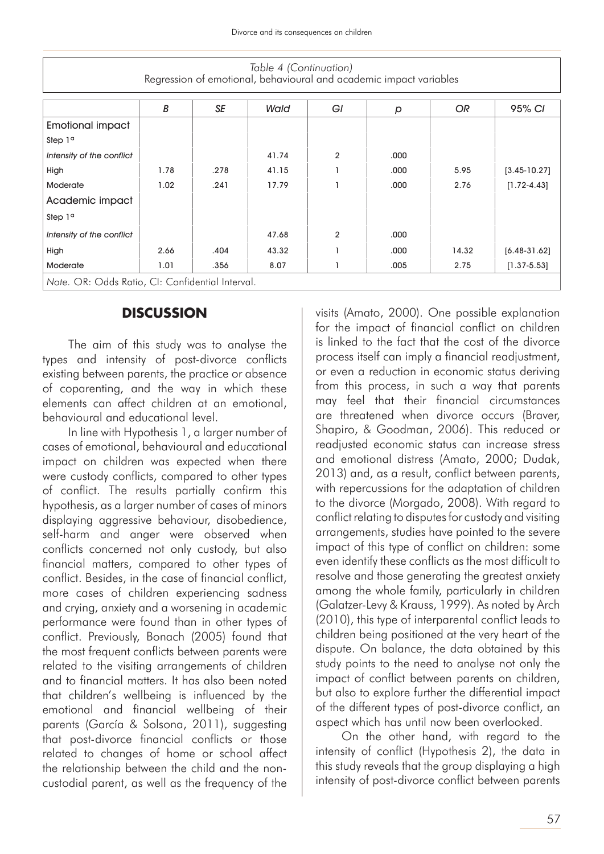| Table 4 (Continuation)<br>Regression of emotional, behavioural and academic impact variables |      |      |       |                |      |           |                  |  |
|----------------------------------------------------------------------------------------------|------|------|-------|----------------|------|-----------|------------------|--|
|                                                                                              | B    | SE   | Wald  | GI             | p    | <b>OR</b> | 95% CI           |  |
| <b>Emotional impact</b>                                                                      |      |      |       |                |      |           |                  |  |
| Step $1a$                                                                                    |      |      |       |                |      |           |                  |  |
| Intensity of the conflict                                                                    |      |      | 41.74 | $\overline{2}$ | .000 |           |                  |  |
| High                                                                                         | 1.78 | .278 | 41.15 |                | .000 | 5.95      | $[3.45 - 10.27]$ |  |
| Moderate                                                                                     | 1.02 | .241 | 17.79 |                | .000 | 2.76      | $[1.72 - 4.43]$  |  |
| Academic impact                                                                              |      |      |       |                |      |           |                  |  |
| Step 1 <sup>a</sup>                                                                          |      |      |       |                |      |           |                  |  |
| Intensity of the conflict                                                                    |      |      | 47.68 | $\overline{2}$ | .000 |           |                  |  |
| High                                                                                         | 2.66 | .404 | 43.32 |                | .000 | 14.32     | $[6.48-3]$ .62]  |  |
| <b>Moderate</b>                                                                              | 1.01 | .356 | 8.07  |                | .005 | 2.75      | $[1.37 - 5.53]$  |  |
| Note. OR: Odds Ratio, CI: Confidential Interval.                                             |      |      |       |                |      |           |                  |  |

### **DISCUSSION**

The aim of this study was to analyse the types and intensity of post-divorce conflicts existing between parents, the practice or absence of coparenting, and the way in which these elements can affect children at an emotional, behavioural and educational level.

In line with Hypothesis 1, a larger number of cases of emotional, behavioural and educational impact on children was expected when there were custody conflicts, compared to other types of conflict. The results partially confirm this hypothesis, as a larger number of cases of minors displaying aggressive behaviour, disobedience, self-harm and anger were observed when conflicts concerned not only custody, but also financial matters, compared to other types of conflict. Besides, in the case of financial conflict, more cases of children experiencing sadness and crying, anxiety and a worsening in academic performance were found than in other types of conflict. Previously, Bonach (2005) found that the most frequent conflicts between parents were related to the visiting arrangements of children and to financial matters. It has also been noted that children's wellbeing is influenced by the emotional and financial wellbeing of their parents (García & Solsona, 2011), suggesting that post-divorce financial conflicts or those related to changes of home or school affect the relationship between the child and the noncustodial parent, as well as the frequency of the

visits (Amato, 2000). One possible explanation for the impact of financial conflict on children is linked to the fact that the cost of the divorce process itself can imply a financial readjustment, or even a reduction in economic status deriving from this process, in such a way that parents may feel that their financial circumstances are threatened when divorce occurs (Braver, Shapiro, & Goodman, 2006). This reduced or readjusted economic status can increase stress and emotional distress (Amato, 2000; Dudak, 2013) and, as a result, conflict between parents, with repercussions for the adaptation of children to the divorce (Morgado, 2008). With regard to conflict relating to disputes for custody and visiting arrangements, studies have pointed to the severe impact of this type of conflict on children: some even identify these conflicts as the most difficult to resolve and those generating the greatest anxiety among the whole family, particularly in children (Galatzer-Levy & Krauss, 1999). As noted by Arch (2010), this type of interparental conflict leads to children being positioned at the very heart of the dispute. On balance, the data obtained by this study points to the need to analyse not only the impact of conflict between parents on children, but also to explore further the differential impact of the different types of post-divorce conflict, an aspect which has until now been overlooked.

On the other hand, with regard to the intensity of conflict (Hypothesis 2), the data in this study reveals that the group displaying a high intensity of post-divorce conflict between parents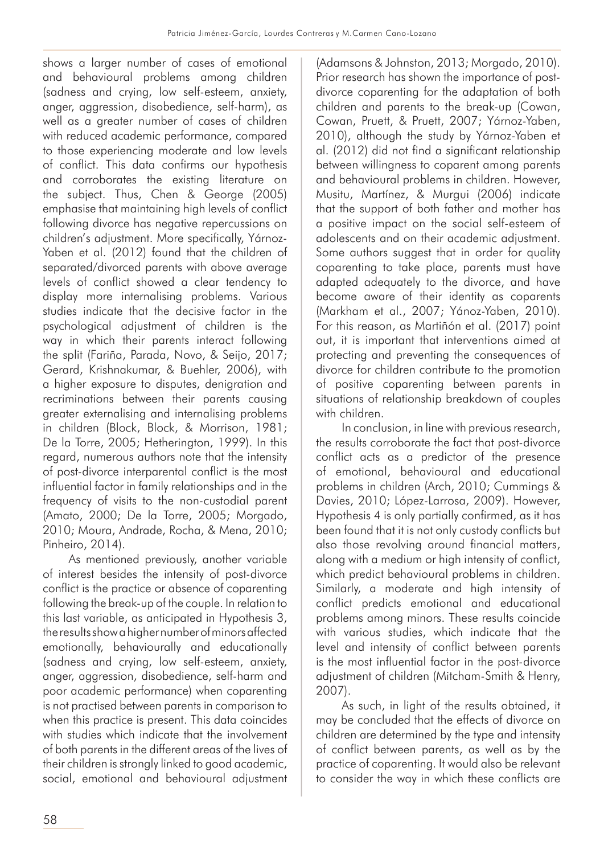shows a larger number of cases of emotional and behavioural problems among children (sadness and crying, low self-esteem, anxiety, anger, aggression, disobedience, self-harm), as well as a greater number of cases of children with reduced academic performance, compared to those experiencing moderate and low levels of conflict. This data confirms our hypothesis and corroborates the existing literature on the subject. Thus, Chen & George (2005) emphasise that maintaining high levels of conflict following divorce has negative repercussions on children's adjustment. More specifically, Yárnoz-Yaben et al. (2012) found that the children of separated/divorced parents with above average levels of conflict showed a clear tendency to display more internalising problems. Various studies indicate that the decisive factor in the psychological adjustment of children is the way in which their parents interact following the split (Fariña, Parada, Novo, & Seijo, 2017; Gerard, Krishnakumar, & Buehler, 2006), with a higher exposure to disputes, denigration and recriminations between their parents causing greater externalising and internalising problems in children (Block, Block, & Morrison, 1981; De la Torre, 2005; Hetherington, 1999). In this regard, numerous authors note that the intensity of post-divorce interparental conflict is the most influential factor in family relationships and in the frequency of visits to the non-custodial parent (Amato, 2000; De la Torre, 2005; Morgado, 2010; Moura, Andrade, Rocha, & Mena, 2010; Pinheiro, 2014).

As mentioned previously, another variable of interest besides the intensity of post-divorce conflict is the practice or absence of coparenting following the break-up of the couple. In relation to this last variable, as anticipated in Hypothesis 3, the results show a higher number of minors affected emotionally, behaviourally and educationally (sadness and crying, low self-esteem, anxiety, anger, aggression, disobedience, self-harm and poor academic performance) when coparenting is not practised between parents in comparison to when this practice is present. This data coincides with studies which indicate that the involvement of both parents in the different areas of the lives of their children is strongly linked to good academic, social, emotional and behavioural adjustment

(Adamsons & Johnston, 2013; Morgado, 2010). Prior research has shown the importance of postdivorce coparenting for the adaptation of both children and parents to the break-up (Cowan, Cowan, Pruett, & Pruett, 2007; Yárnoz-Yaben, 2010), although the study by Yárnoz-Yaben et al. (2012) did not find a significant relationship between willingness to coparent among parents and behavioural problems in children. However, Musitu, Martínez, & Murgui (2006) indicate that the support of both father and mother has a positive impact on the social self-esteem of adolescents and on their academic adjustment. Some authors suggest that in order for quality coparenting to take place, parents must have adapted adequately to the divorce, and have become aware of their identity as coparents (Markham et al., 2007; Yánoz-Yaben, 2010). For this reason, as Martiñón et al. (2017) point out, it is important that interventions aimed at protecting and preventing the consequences of divorce for children contribute to the promotion of positive coparenting between parents in situations of relationship breakdown of couples with children.

In conclusion, in line with previous research, the results corroborate the fact that post-divorce conflict acts as a predictor of the presence of emotional, behavioural and educational problems in children (Arch, 2010; Cummings & Davies, 2010; López-Larrosa, 2009). However, Hypothesis 4 is only partially confirmed, as it has been found that it is not only custody conflicts but also those revolving around financial matters, along with a medium or high intensity of conflict, which predict behavioural problems in children. Similarly, a moderate and high intensity of conflict predicts emotional and educational problems among minors. These results coincide with various studies, which indicate that the level and intensity of conflict between parents is the most influential factor in the post-divorce adjustment of children (Mitcham-Smith & Henry, 2007).

As such, in light of the results obtained, it may be concluded that the effects of divorce on children are determined by the type and intensity of conflict between parents, as well as by the practice of coparenting. It would also be relevant to consider the way in which these conflicts are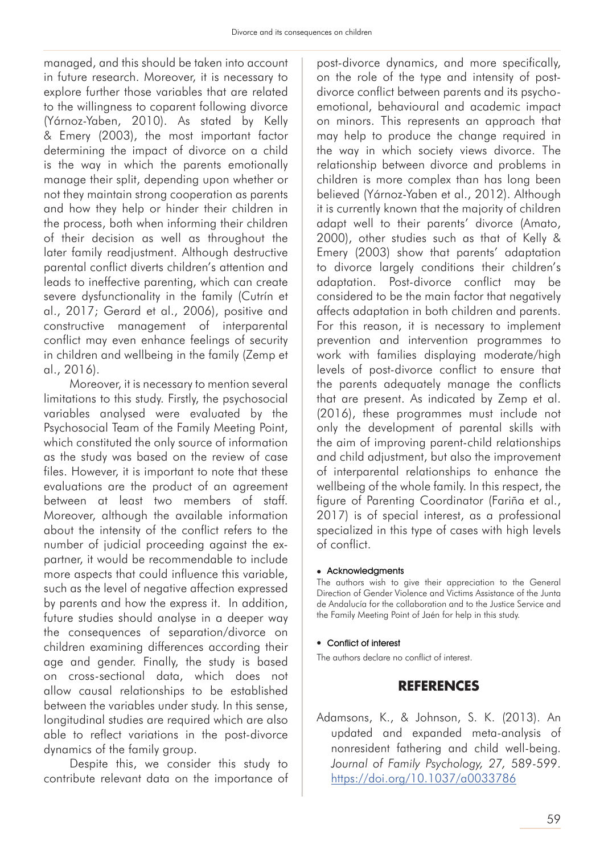managed, and this should be taken into account in future research. Moreover, it is necessary to explore further those variables that are related to the willingness to coparent following divorce (Yárnoz-Yaben, 2010). As stated by Kelly & Emery (2003), the most important factor determining the impact of divorce on a child is the way in which the parents emotionally manage their split, depending upon whether or not they maintain strong cooperation as parents and how they help or hinder their children in the process, both when informing their children of their decision as well as throughout the later family readjustment. Although destructive parental conflict diverts children's attention and leads to ineffective parenting, which can create severe dysfunctionality in the family (Cutrín et al., 2017; Gerard et al., 2006), positive and constructive management of interparental conflict may even enhance feelings of security in children and wellbeing in the family (Zemp et al., 2016).

Moreover, it is necessary to mention several limitations to this study. Firstly, the psychosocial variables analysed were evaluated by the Psychosocial Team of the Family Meeting Point, which constituted the only source of information as the study was based on the review of case files. However, it is important to note that these evaluations are the product of an agreement between at least two members of staff. Moreover, although the available information about the intensity of the conflict refers to the number of judicial proceeding against the expartner, it would be recommendable to include more aspects that could influence this variable, such as the level of negative affection expressed by parents and how the express it. In addition, future studies should analyse in a deeper way the consequences of separation/divorce on children examining differences according their age and gender. Finally, the study is based on cross-sectional data, which does not allow causal relationships to be established between the variables under study. In this sense, longitudinal studies are required which are also able to reflect variations in the post-divorce dynamics of the family group.

Despite this, we consider this study to contribute relevant data on the importance of

post-divorce dynamics, and more specifically, on the role of the type and intensity of postdivorce conflict between parents and its psychoemotional, behavioural and academic impact on minors. This represents an approach that may help to produce the change required in the way in which society views divorce. The relationship between divorce and problems in children is more complex than has long been believed (Yárnoz-Yaben et al., 2012). Although it is currently known that the majority of children adapt well to their parents' divorce (Amato, 2000), other studies such as that of Kelly & Emery (2003) show that parents' adaptation to divorce largely conditions their children's adaptation. Post-divorce conflict may be considered to be the main factor that negatively affects adaptation in both children and parents. For this reason, it is necessary to implement prevention and intervention programmes to work with families displaying moderate/high levels of post-divorce conflict to ensure that the parents adequately manage the conflicts that are present. As indicated by Zemp et al. (2016), these programmes must include not only the development of parental skills with the aim of improving parent-child relationships and child adjustment, but also the improvement of interparental relationships to enhance the wellbeing of the whole family. In this respect, the figure of Parenting Coordinator (Fariña et al., 2017) is of special interest, as a professional specialized in this type of cases with high levels of conflict.

#### $\bullet$  Acknowledgments

The authors wish to give their appreciation to the General Direction of Gender Violence and Victims Assistance of the Junta de Andalucía for the collaboration and to the Justice Service and the Family Meeting Point of Jaén for help in this study.

#### • Conflict of interest

The authors declare no conflict of interest.

### **REFERENCES**

Adamsons, K., & Johnson, S. K. (2013). An updated and expanded meta-analysis of nonresident fathering and child well-being. *Journal of Family Psychology, 27,* 589-599. https://doi.org/10.1037/a0033786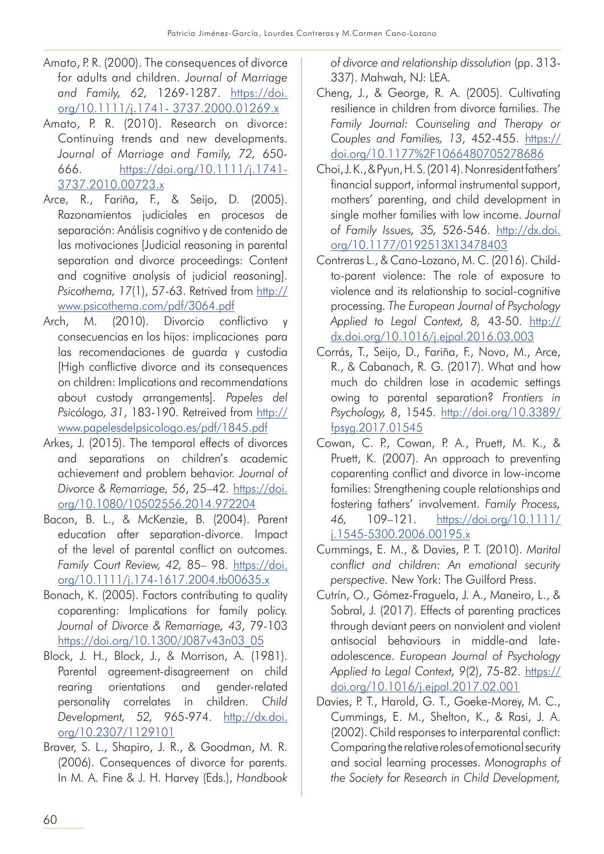- Amato, P. R. (2000). The consequences of divorce for adults and children. *Journal of Marriage and Family, 62,* 1269-1287. https://doi. org/10.1111/j.1741- 3737.2000.01269.x
- Amato, P. R. (2010). Research on divorce: Continuing trends and new developments. *Journal of Marriage and Family, 72,* 650- 666. https://doi.org/10.1111/j.1741- 3737.2010.00723.x
- Arce, R., Fariña, F., & Seijo, D. (2005). Razonamientos judiciales en procesos de separación: Análisis cognitivo y de contenido de las motivaciones [Judicial reasoning in parental separation and divorce proceedings: Content and cognitive analysis of judicial reasoning]. Psicothema, 17(1), 57-63. Retrived from http:// www.psicothema.com/pdf/3064.pdf
- Arch, M. (2010). Divorcio conflictivo y consecuencias en los hijos: implicaciones para las recomendaciones de guarda y custodia [High conflictive divorce and its consequences on children: Implications and recommendations about custody arrangements]. *Papeles del Psicólogo, 31*, 183-190. Retreived from http:// www.papelesdelpsicologo.es/pdf/1845.pdf
- Arkes, J. (2015). The temporal effects of divorces and separations on children's academic achievement and problem behavior. *Journal of Divorce & Remarriage, 56*, 25–42. https://doi. org/10.1080/10502556.2014.972204
- Bacon, B. L., & McKenzie, B. (2004). Parent education after separation-divorce. Impact of the level of parental conflict on outcomes. *Family Court Review, 42,* 85– 98. https://doi. org/10.1111/j.174-1617.2004.tb00635.x
- Bonach, K. (2005). Factors contributing to quality coparenting: Implications for family policy. *Journal of Divorce & Remarriage, 43*, 79-103 https://doi.org/10.1300/J087v43n03\_05
- Block, J. H., Block, J., & Morrison, A. (1981). Parental agreement-disagreement on child rearing orientations and gender-related personality correlates in children. *Child Development, 52,* 965-974. http://dx.doi. org/10.2307/1129101
- Braver, S. L., Shapiro, J. R., & Goodman, M. R. (2006). Consequences of divorce for parents. In M. A. Fine & J. H. Harvey (Eds.), *Handbook*

*of divorce and relationship dissolution* (pp. 313- 337). Mahwah, NJ: LEA.

- Cheng, J., & George, R. A. (2005). Cultivating resilience in children from divorce families. *The Family Journal: Counseling and Therapy or Couples and Families, 13*, 452-455. https:// doi.org/10.1177%2F1066480705278686
- Choi, J. K., & Pyun, H. S. (2014). Nonresident fathers' financial support, informal instrumental support, mothers' parenting, and child development in single mother families with low income. *Journal of Family Issues, 35,* 526-546. http://dx.doi. org/10.1177/0192513X13478403
- Contreras L., & Cano-Lozano, M. C. (2016). Childto-parent violence: The role of exposure to violence and its relationship to social-cognitive processing. *The European Journal of Psychology Applied to Legal Context, 8,* 43-50. http:// dx.doi.org/10.1016/j.ejpal.2016.03.003
- Corrás, T., Seijo, D., Fariña, F., Novo, M., Arce, R., & Cabanach, R. G. (2017). What and how much do children lose in academic settings owing to parental separation? *Frontiers in Psychology, 8*, 1545. http://doi.org/10.3389/ fpsyg.2017.01545
- Cowan, C. P., Cowan, P. A., Pruett, M. K., & Pruett, K. (2007). An approach to preventing coparenting conflict and divorce in low-income families: Strengthening couple relationships and fostering fathers' involvement. *Family Process, 46,* 109–121. https://doi.org/10.1111/ j.1545-5300.2006.00195.x
- Cummings, E. M., & Davies, P. T. (2010). *Marital conflict and children: An emotional security perspective.* New York: The Guilford Press.
- Cutrín, O., Gómez-Fraguela, J. A., Maneiro, L., & Sobral, J. (2017). Effects of parenting practices through deviant peers on nonviolent and violent antisocial behaviours in middle-and lateadolescence. *European Journal of Psychology Applied to Legal Context, 9*(2), 75-82. https:// doi.org/10.1016/j.ejpal.2017.02.001
- Davies, P. T., Harold, G. T., Goeke-Morey, M. C., Cummings, E. M., Shelton, K., & Rasi, J. A. (2002). Child responses to interparental conflict: Comparing the relative roles of emotional security and social learning processes. *Monographs of the Society for Research in Child Development,*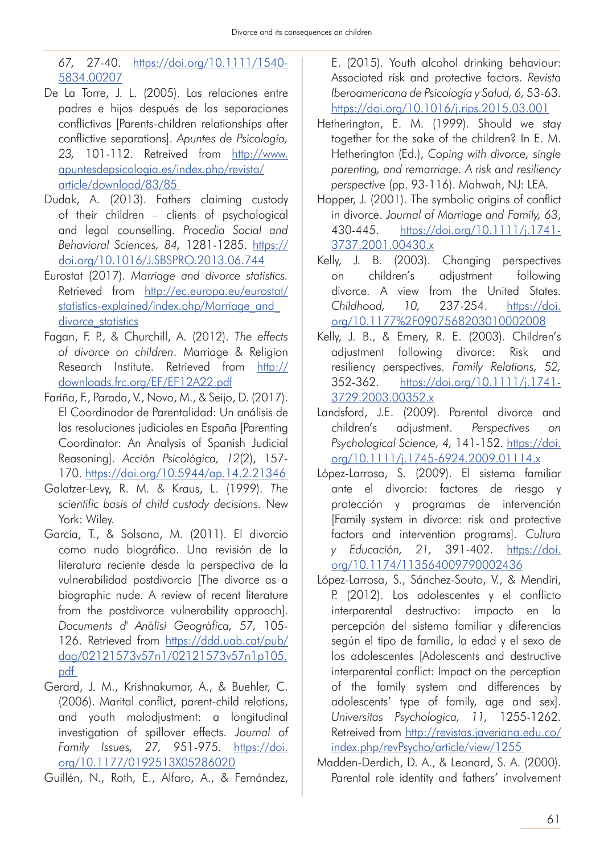*67,* 27-40. https://doi.org/10.1111/1540- 5834.00207

- De La Torre, J. L. (2005). Las relaciones entre padres e hijos después de las separaciones conflictivas [Parents-children relationships after conflictive separations]. *Apuntes de Psicología, 23,* 101-112. Retreived from http://www. apuntesdepsicologia.es/index.php/revista/ article/download/83/85
- Dudak, A. (2013). Fathers claiming custody of their children – clients of psychological and legal counselling. *Procedia Social and Behavioral Sciences, 84,* 1281-1285. https:// doi.org/10.1016/J.SBSPRO.2013.06.744
- Eurostat (2017). *Marriage and divorce statistics.* Retrieved from http://ec.europa.eu/eurostat/ statistics-explained/index.php/Marriage\_and divorce statistics
- Fagan, F. P., & Churchill, A. (2012). *The effects of divorce on children*. Marriage & Religion Research Institute. Retrieved from http:// downloads.frc.org/EF/EF12A22.pdf
- Fariña, F., Parada, V., Novo, M., & Seijo, D. (2017). El Coordinador de Parentalidad: Un análisis de las resoluciones judiciales en España [Parenting Coordinator: An Analysis of Spanish Judicial Reasoning]. *Acción Psicológica, 12*(2), 157- 170. https://doi.org/10.5944/ap.14.2.21346
- Galatzer-Levy, R. M. & Kraus, L. (1999). *The scientific basis of child custody decisions.* New York: Wiley.
- García, T., & Solsona, M. (2011). El divorcio como nudo biográfico. Una revisión de la literatura reciente desde la perspectiva de la vulnerabilidad postdivorcio [The divorce as a biographic nude. A review of recent literature from the postdivorce vulnerability approach]. *Documents d' Anàlisi Geogràfica, 57,* 105- 126. Retrieved from https://ddd.uab.cat/pub/ dag/02121573v57n1/02121573v57n1p105. pdf
- Gerard, J. M., Krishnakumar, A., & Buehler, C. (2006). Marital conflict, parent-child relations, and youth maladjustment: a longitudinal investigation of spillover effects. *Journal of Family Issues, 27,* 951-975. https://doi. org/10.1177/0192513X05286020
- Guillén, N., Roth, E., Alfaro, A., & Fernández,

E. (2015). Youth alcohol drinking behaviour: Associated risk and protective factors. *Revista Iberoamericana de Psicología y Salud, 6,* 53-63. https://doi.org/10.1016/j.rips.2015.03.001

- Hetherington, E. M. (1999). Should we stay together for the sake of the children? In E. M. Hetherington (Ed.), *Coping with divorce, single parenting, and remarriage. A risk and resiliency perspective* (pp. 93-116). Mahwah, NJ: LEA.
- Hopper, J. (2001). The symbolic origins of conflict in divorce. *Journal of Marriage and Family, 63*, 430-445. https://doi.org/10.1111/j.1741- 3737.2001.00430.x
- Kelly, J. B. (2003). Changing perspectives on children's adjustment following divorce. A view from the United States. *Childhood, 10,* 237-254. https://doi. org/10.1177%2F0907568203010002008
- Kelly, J. B., & Emery, R. E. (2003). Children's adjustment following divorce: Risk and resiliency perspectives. *Family Relations, 52,* 352-362. https://doi.org/10.1111/j.1741- 3729.2003.00352.x
- Landsford, J.E. (2009). Parental divorce and children's adjustment. *Perspectives on Psychological Science, 4,* 141-152. https://doi. org/10.1111/j.1745-6924.2009.01114.x
- López-Larrosa, S. (2009). El sistema familiar ante el divorcio: factores de riesgo y protección y programas de intervención [Family system in divorce: risk and protective factors and intervention programs]. *Cultura y Educación, 21,* 391-402. https://doi. org/10.1174/113564009790002436
- López-Larrosa, S., Sánchez-Souto, V., & Mendiri, P. (2012). Los adolescentes y el conflicto interparental destructivo: impacto en la percepción del sistema familiar y diferencias según el tipo de familia, la edad y el sexo de los adolescentes [Adolescents and destructive interparental conflict: Impact on the perception of the family system and differences by adolescents' type of family, age and sex]. *Universitas Psychologica, 11,* 1255-1262. Retreived from http://revistas.javeriana.edu.co/ index.php/revPsycho/article/view/1255
- Madden-Derdich, D. A., & Leonard, S. A. (2000). Parental role identity and fathers' involvement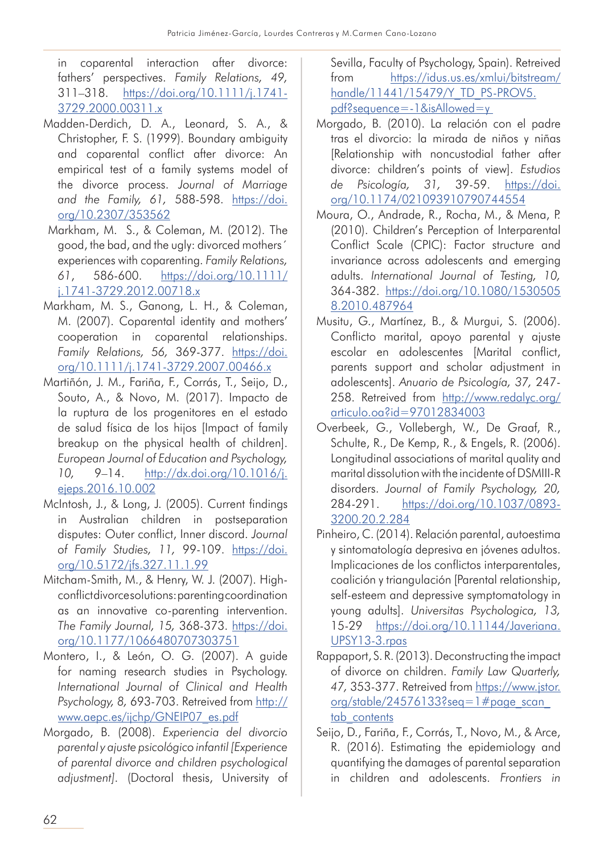in coparental interaction after divorce: fathers' perspectives. *Family Relations, 49,* 311–318. https://doi.org/10.1111/j.1741- 3729.2000.00311.x

- Madden-Derdich, D. A., Leonard, S. A., & Christopher, F. S. (1999). Boundary ambiguity and coparental conflict after divorce: An empirical test of a family systems model of the divorce process. *Journal of Marriage and the Family, 61,* 588-598. https://doi. org/10.2307/353562
- Markham, M. S., & Coleman, M. (2012). The good, the bad, and the ugly: divorced mothers´ experiences with coparenting. *Family Relations, 61*, 586-600. https://doi.org/10.1111/ j.1741-3729.2012.00718.x
- Markham, M. S., Ganong, L. H., & Coleman, M. (2007). Coparental identity and mothers' cooperation in coparental relationships. *Family Relations, 56,* 369-377. https://doi. org/10.1111/j.1741-3729.2007.00466.x
- Martiñón, J. M., Fariña, F., Corrás, T., Seijo, D., Souto, A., & Novo, M. (2017). Impacto de la ruptura de los progenitores en el estado de salud física de los hijos [Impact of family breakup on the physical health of children]. *European Journal of Education and Psychology, 10,* 9–14. http://dx.doi.org/10.1016/j. ejeps.2016.10.002
- McIntosh, J., & Long, J. (2005). Current findings in Australian children in postseparation disputes: Outer conflict, Inner discord. *Journal of Family Studies, 11,* 99-109. https://doi. org/10.5172/jfs.327.11.1.99
- Mitcham-Smith, M., & Henry, W. J. (2007). Highconflict divorce solutions: parenting coordination as an innovative co-parenting intervention. *The Family Journal, 15,* 368-373. https://doi. org/10.1177/1066480707303751
- Montero, I., & León, O. G. (2007). A guide for naming research studies in Psychology. *International Journal of Clinical and Health Psychology, 8,* 693-703. Retreived from http:// www.aepc.es/ijchp/GNEIP07\_es.pdf
- Morgado, B. (2008). *Experiencia del divorcio parental y ajuste psicológico infantil [Experience of parental divorce and children psychological adjustment].* (Doctoral thesis, University of

Sevilla, Faculty of Psychology, Spain). Retreived from https://idus.us.es/xmlui/bitstream/ handle/11441/15479/Y\_TD\_PS-PROV5. pdf?sequence=-1&isAllowed=y

- Morgado, B. (2010). La relación con el padre tras el divorcio: la mirada de niños y niñas [Relationship with noncustodial father after divorce: children's points of view]. *Estudios de Psicología, 31,* 39-59. https://doi. org/10.1174/021093910790744554
- Moura, O., Andrade, R., Rocha, M., & Mena, P. (2010). Children's Perception of Interparental Conflict Scale (CPIC): Factor structure and invariance across adolescents and emerging adults. *International Journal of Testing, 10,* 364-382. https://doi.org/10.1080/1530505 8.2010.487964
- Musitu, G., Martínez, B., & Murgui, S. (2006). Conflicto marital, apoyo parental y ajuste escolar en adolescentes [Marital conflict, parents support and scholar adjustment in adolescents]. *Anuario de Psicología, 37,* 247- 258. Retreived from http://www.redalyc.org/ articulo.oa?id=97012834003
- Overbeek, G., Vollebergh, W., De Graaf, R., Schulte, R., De Kemp, R., & Engels, R. (2006). Longitudinal associations of marital quality and marital dissolution with the incidente of DSMIII-R disorders. *Journal of Family Psychology, 20,*  284-291. https://doi.org/10.1037/0893- 3200.20.2.284
- Pinheiro, C. (2014). Relación parental, autoestima y sintomatología depresiva en jóvenes adultos. Implicaciones de los conflictos interparentales, coalición y triangulación [Parental relationship, self-esteem and depressive symptomatology in young adults]. *Universitas Psychologica, 13,*  15-29 https://doi.org/10.11144/Javeriana. UPSY13-3.rpas
- Rappaport, S. R. (2013). Deconstructing the impact of divorce on children. *Family Law Quarterly, 47,* 353-377. Retreived from https://www.jstor. org/stable/24576133?seq=1#page\_scan\_ tab contents
- Seijo, D., Fariña, F., Corrás, T., Novo, M., & Arce, R. (2016). Estimating the epidemiology and quantifying the damages of parental separation in children and adolescents. *Frontiers in*